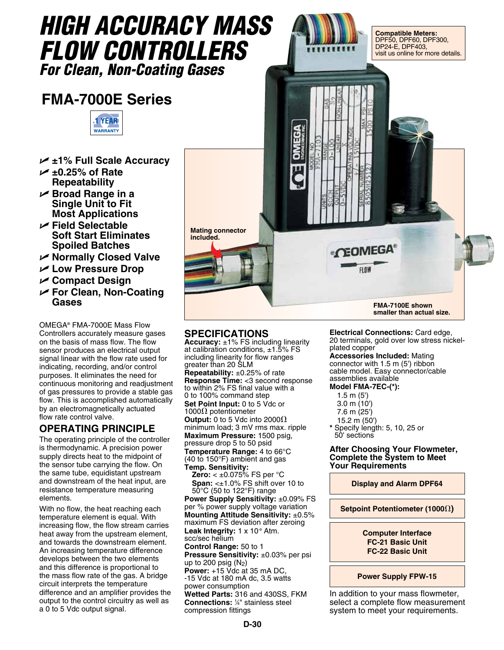

## **SPECIFICATIONS Accuracy:** ±1% FS including linearity

at calibration conditions,  $\pm 1.5\%$  FS including linearity for flow ranges greater than 20 SLM **Repeatability:** ±0.25% of rate **Response Time:** <3 second response to within 2% FS final value with a 0 to 100% command step **Set Point Input:** 0 to 5 Vdc or 1000 $\Omega$  potentiometer **Output:** 0 to 5 Vdc into 2000 $\Omega$ minimum load; 3 mV rms max. ripple **Maximum Pressure:** 1500 psig, pressure drop 5 to 50 psid **Temperature Range:** 4 to 66°C (40 to 150°F) ambient and gas **Temp. Sensitivity: Zero:** < ±0.075% FS per °C **Span:** <±1.0% FS shift over 10 to 50°C (50 to 122°F) range **Power Supply Sensitivity:** ±0.09% FS per % power supply voltage variation **Mounting Attitude Sensitivity:** ±0.5% maximum FS deviation after zeroing Leak Integrity: 1 x 10<sup>-9</sup> Atm. scc/sec helium **Control Range:** 50 to 1 **Pressure Sensitivity:** ±0.03% per psi up to 200 psig  $(N<sub>2</sub>)$ **Power:** +15 Vdc at 35 mA DC, -15 Vdc at 180 mA dc, 3.5 watts power consumption **Wetted Parts:** 316 and 430SS, FKM

**Connections:** <sup>1</sup> ⁄4" stainless steel compression fittings

**Electrical Connections:** Card edge, 20 terminals, gold over low stress nickelplated copper

**Accessories Included:** Mating connector with 1.5 m (5') ribbon cable model. Easy connector/cable assemblies available

**Model FMA-7EC-(\*):**

- 1.5 m (5')
- 3.0 m (10')
- 7.6 m (25')
- 15.2 m (50')

**\*** Specify length: 5, 10, 25 or 50' sections

**After Choosing Your Flowmeter, Complete the System to Meet Your Requirements**

**Display and Alarm DPF64**

**Setpoint Potentiometer (1000** $\Omega$ **)** 

**Computer Interface FC-21 Basic Unit FC-22 Basic Unit**

**Power Supply FPW-15** 

In addition to your mass flowmeter, select a complete flow measurement system to meet your requirements.

- U **Broad Range in a**
- 
- 
- U **For Clean, Non-Coating**

OMEGA® FMA-7000E Mass Flow Controllers accurately measure gases on the basis of mass flow. The flow sensor produces an electrical output signal linear with the flow rate used for indicating, recording, and/or control purposes. It eliminates the need for continuous monitoring and readjustment of gas pressures to provide a stable gas flow. This is accomplished automatically by an electromagnetically actuated flow rate control valve.

## **OPERATING PRINCIPLE**

The operating principle of the controller is thermodynamic. A precision power supply directs heat to the midpoint of the sensor tube carrying the flow. On the same tube, equidistant upstream and downstream of the heat input, are resistance temperature measuring elements.

With no flow, the heat reaching each temperature element is equal. With increasing flow, the flow stream carries heat away from the upstream element, and towards the downstream element. An increasing temperature difference develops between the two elements and this difference is proportional to the mass flow rate of the gas. A bridge circuit interprets the temperature difference and an amplifier provides the output to the control circuitry as well as a 0 to 5 Vdc output signal.